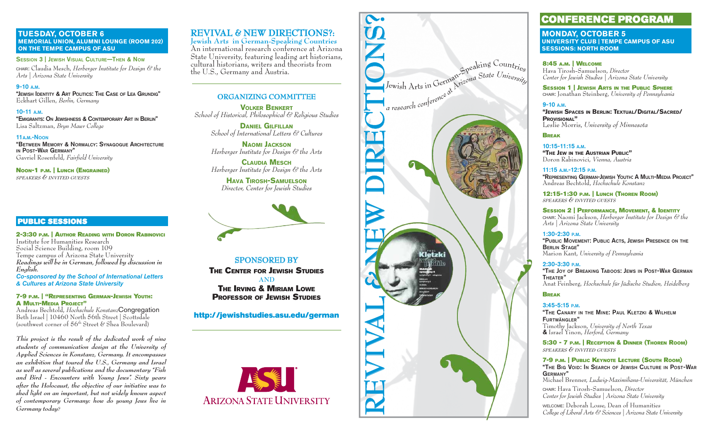**TUESDAY, OCTOBER 6 MEMORIAL UNION, ALUMNI LOUNGE (ROOM 202) ON THE TEMPE CAMPUS OF ASU**

**SESSION 3 | JEWISH VISUAL CULTURE—THEN & NOW** CHAIR: Claudia Mesch, *Herberger Institute for Design & the Arts | Arizona State University*

#### **9-10 A.M.**

**"JEWISH IDENTITY & ART POLITICS: THE CASE OF LEA GRUNDIG"** Eckhart Gillen, *Berlin, Germany*

#### **10-11 A.M.**

 **"EMIGRANTS: ON JEWISHNESS & CONTEMPORARY ART IN BERLIN"** Lisa Saltzman, *Bryn Mawr College*

### **11A.M.-NOON**

 **"BETWEEN MEMORY & NORMALCY: SYNAGOGUE ARCHITECTURE IN POST-WAR GERMANY"**Gavriel Rosenfeld, *Fairfi eld University*

**NOON-1 P.M. | LUNCH (ENGRAINED)** *SPEAKERS & INVITED GUESTS*

### **PUBLIC SESSIONS U BLIC SESSIONS**

**2-3:30 P.M. | AUTHOR READING WITH DORON RABINOVICI** Institute for Humanities ResearchSocial Science Building, room 109 Tempe campus of Arizona State University<br>*Readings will be in German, followed by discussion in*<br>English.

*Co-sponsored by the School of International Letters & Cultures at Arizona State University*

#### **7-9 P.M. | "REPRESENTING GERMAN-JEWISH YOUTH: A MULTI-MEDIA PROJECT"**

 Andreas Bechtold, *Hochschule Konstanz*Congregation Beth Israel | 10460 North 56th Street | Scottsdale (southwest corner of 56th Street & Shea Boulevard)

*This project is the result of the dedicated work of nine students of communication design at the University of Applied Sciences in Konstanz, Germany. It encompasses an exhibition that toured the U.S., Germany and Israel as well as several publications and the documentary "Fish and Bird - Encounters with Young Jews". Sixty years after the Holocaust, the objective of our initiative was to shed light on an important, but not widely known aspect of contemporary Germany: how do young Jews live in Germany today?* 

#### **REVIVAL & NEW DIRECTIONS?: E VIVAL NE W DIRE CTIONS ?:**

An international research conference at Arizona State University, featuring leading art historians, cultural historians, writers and theorists from the U.S., Germany and Austria.

## **ORGANIZING COMMITTEE R GANIZIN G COMMITTEE**

**VOLKER BENKERT***School of Historical, Philosophical & Religious Studies*

> **DANIEL GILFILLAN***School of International Letters & Cultures*

**NAOMI JACKSON***Herberger Institute for Design & the Arts*

**CLAUDIA MESCH***Herberger Institute for Design & the Arts*

**HAVA TIROSH-SAMUELSON***Director, Center for Jewish Studies*



**SPONSORED BY P ONS ORED BYTHE CENTER FOR JEWISH STUDIESANDTHE IRVING & MIRIAM LOWEPROFESSOR OF JEWISH STUDIES**

**http://jewishstudies.asu.edu/german**





# **CONFERENCE PROGRAM O NFERENCE PROGRAM**

**MONDAY, OCTOBER 5 UNIVERSITY CLUB | TEMPE CAMPUS OF ASU SESSIONS: NORTH ROOM**

#### **8:45 A.M. | WELCOME**

Hava Tirosh-Samuelson, *Director Center for Jewish Studies | Arizona State University*

**SESSION 1 | JEWISH ARTS IN THE PUBLIC SPHERE** CHAIR: Jonathan Steinberg, *University of Pennsylvania*

#### **9-10 A.M.**

 **"JEWISH SPACES IN BERLIN: TEXTUAL/DIGITAL/SACRED/ PROVISIONAL"**Leslie Morris, *University of Minnesota*

#### **BREAK**

**10:15-11:15 A.M.**

**"THE JEW IN THE AUSTRIAN PUBLIC"** Doron Rabinovici, *Vienna, Austria*

#### **11:15 A.M.-12:15 P.M.**

**"REPRESENTING GERMAN-JEWISH YOUTH: A MULTI-MEDIA PROJECT"**Andreas Bechtold, *Hochschule Konstanz*

**12:15-1:30 P.M. | LUNCH (THOREN ROOM)** *SPEAKERS & INVITED GUESTS*

**SESSION 2 | PERFORMANCE, MOVEMENT, & IDENTITY**

CHAIR: Naomi Jackson, *Herberger Institute for Design & the Arts | Arizona State University*

#### **1:30-2:30 P.M.**

 **"PUBLIC MOVEMENT: PUBLIC ACTS, JEWISH PRESENCE ON THE BERLIN STAGE"**Marion Kant, *University of Pennsylvania*

#### **2:30-3:30 P.M.**

**"THE JOY OF BREAKING TABOOS: JEWS IN POST-WAR GERMANTHEATER"**Anat Feinberg, *Hochschule für Jüdische Studien, Heidelberg*

## **BREAK**

#### **3:45-5:15 P.M.**

 **"THE CANARY IN THE MINE: PAUL KLETZKI & WILHELMFURTWÄNGLER"** Timothy Jackson, *University of North Texas*  **&** Israel Yinon, *Herford, Germany*

**5:30 - 7 P.M. | RECEPTION & DINNER (THOREN ROOM)** *SPEAKERS & INVITED GUESTS*

#### **7-9 P.M. | PUBLIC KEYNOTE LECTURE (SOUTH ROOM) "THE BIG VOID: IN SEARCH OF JEWISH CULTURE IN POST-WAR GERMANY"**

Michael Brenner, *Ludwig-Maximilians-Universität, München*

CHAIR: Hava Tirosh-Samuelson, *Director Center for Jewish Studies | Arizona State University*

WELCOME: Deborah Losse, Dean of Humanities *College of Liberal Arts & Sciences | Arizona State University*